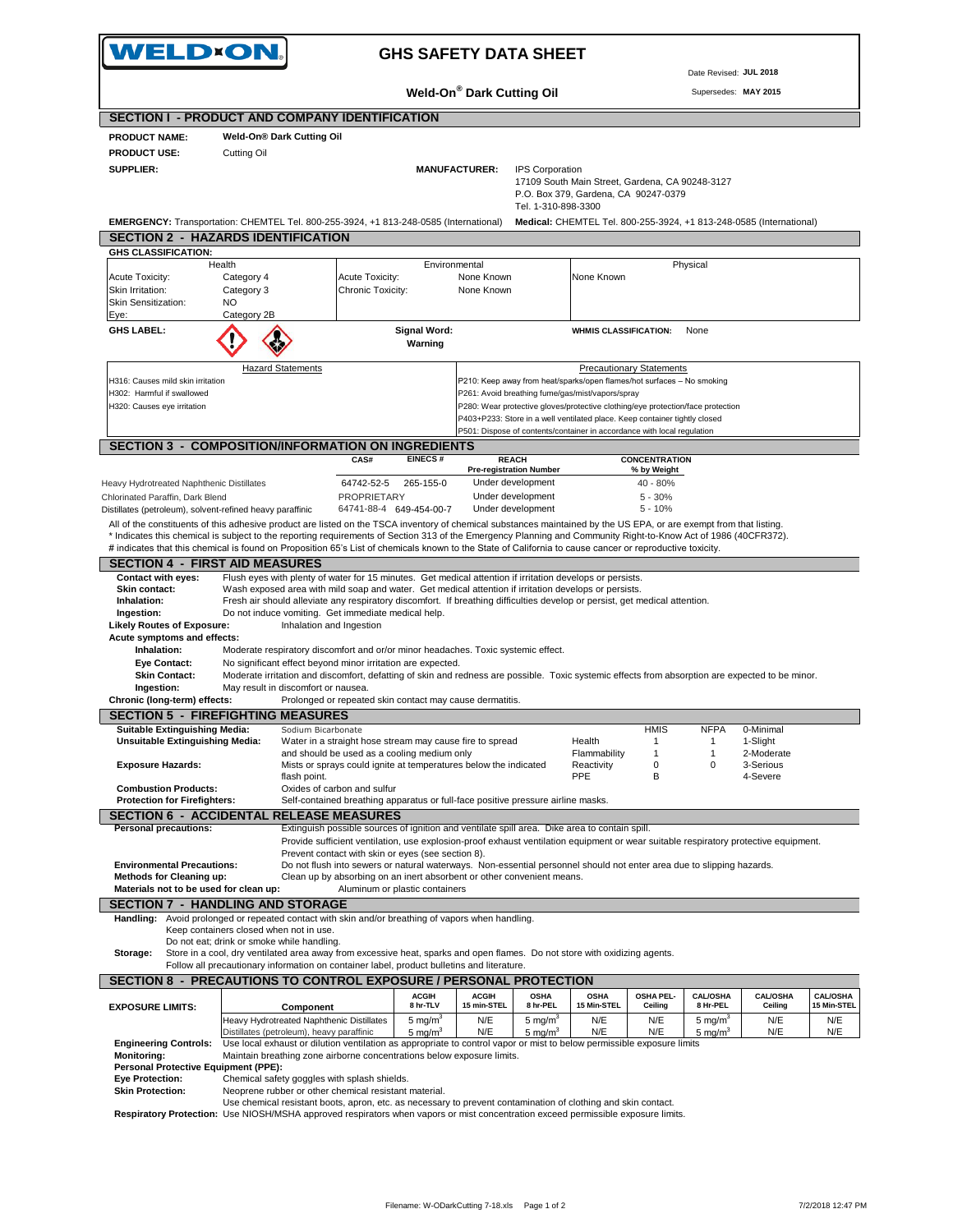|                                                                                                                                                                                                                                                                                                                            | WELD×ON.                                   |                                                                                                                                                                                                                                       |                                | <b>GHS SAFETY DATA SHEET</b>                   |                         |                                                                                                                                                       |                                     |                        |                                                                     |                                |
|----------------------------------------------------------------------------------------------------------------------------------------------------------------------------------------------------------------------------------------------------------------------------------------------------------------------------|--------------------------------------------|---------------------------------------------------------------------------------------------------------------------------------------------------------------------------------------------------------------------------------------|--------------------------------|------------------------------------------------|-------------------------|-------------------------------------------------------------------------------------------------------------------------------------------------------|-------------------------------------|------------------------|---------------------------------------------------------------------|--------------------------------|
|                                                                                                                                                                                                                                                                                                                            |                                            |                                                                                                                                                                                                                                       |                                |                                                |                         |                                                                                                                                                       |                                     | Date Revised: JUL 2018 |                                                                     |                                |
|                                                                                                                                                                                                                                                                                                                            |                                            |                                                                                                                                                                                                                                       |                                | <b>Weld-On® Dark Cutting Oil</b>               |                         |                                                                                                                                                       |                                     | Supersedes: MAY 2015   |                                                                     |                                |
| <b>SECTION I - PRODUCT AND COMPANY IDENTIFICATION</b>                                                                                                                                                                                                                                                                      |                                            |                                                                                                                                                                                                                                       |                                |                                                |                         |                                                                                                                                                       |                                     |                        |                                                                     |                                |
| <b>PRODUCT NAME:</b>                                                                                                                                                                                                                                                                                                       | <b>Weld-On® Dark Cutting Oil</b>           |                                                                                                                                                                                                                                       |                                |                                                |                         |                                                                                                                                                       |                                     |                        |                                                                     |                                |
| <b>PRODUCT USE:</b>                                                                                                                                                                                                                                                                                                        | Cutting Oil                                |                                                                                                                                                                                                                                       |                                |                                                |                         |                                                                                                                                                       |                                     |                        |                                                                     |                                |
| SUPPLIER:                                                                                                                                                                                                                                                                                                                  |                                            |                                                                                                                                                                                                                                       |                                | <b>MANUFACTURER:</b>                           | <b>IPS Corporation</b>  | 17109 South Main Street, Gardena, CA 90248-3127                                                                                                       |                                     |                        |                                                                     |                                |
|                                                                                                                                                                                                                                                                                                                            |                                            |                                                                                                                                                                                                                                       |                                |                                                |                         | P.O. Box 379, Gardena, CA 90247-0379                                                                                                                  |                                     |                        |                                                                     |                                |
| EMERGENCY: Transportation: CHEMTEL Tel. 800-255-3924, +1 813-248-0585 (International)                                                                                                                                                                                                                                      |                                            |                                                                                                                                                                                                                                       |                                |                                                | Tel. 1-310-898-3300     |                                                                                                                                                       |                                     |                        | Medical: CHEMTEL Tel. 800-255-3924, +1 813-248-0585 (International) |                                |
| <b>SECTION 2 - HAZARDS IDENTIFICATION</b>                                                                                                                                                                                                                                                                                  |                                            |                                                                                                                                                                                                                                       |                                |                                                |                         |                                                                                                                                                       |                                     |                        |                                                                     |                                |
| <b>GHS CLASSIFICATION:</b><br>Health                                                                                                                                                                                                                                                                                       |                                            |                                                                                                                                                                                                                                       | Environmental                  |                                                |                         |                                                                                                                                                       |                                     | Physical               |                                                                     |                                |
| Acute Toxicity:                                                                                                                                                                                                                                                                                                            | Category 4                                 | Acute Toxicity:                                                                                                                                                                                                                       |                                | None Known                                     |                         | None Known                                                                                                                                            |                                     |                        |                                                                     |                                |
| Skin Irritation:<br>Skin Sensitization:                                                                                                                                                                                                                                                                                    | Category 3<br>NO.                          | Chronic Toxicity:                                                                                                                                                                                                                     |                                | None Known                                     |                         |                                                                                                                                                       |                                     |                        |                                                                     |                                |
| Eye:                                                                                                                                                                                                                                                                                                                       | Category 2B                                |                                                                                                                                                                                                                                       |                                |                                                |                         |                                                                                                                                                       |                                     |                        |                                                                     |                                |
| <b>GHS LABEL:</b>                                                                                                                                                                                                                                                                                                          |                                            |                                                                                                                                                                                                                                       | <b>Signal Word:</b>            |                                                |                         | <b>WHMIS CLASSIFICATION:</b>                                                                                                                          |                                     | None                   |                                                                     |                                |
|                                                                                                                                                                                                                                                                                                                            |                                            |                                                                                                                                                                                                                                       | Warning                        |                                                |                         |                                                                                                                                                       |                                     |                        |                                                                     |                                |
|                                                                                                                                                                                                                                                                                                                            | <b>Hazard Statements</b>                   |                                                                                                                                                                                                                                       |                                |                                                |                         |                                                                                                                                                       | <b>Precautionary Statements</b>     |                        |                                                                     |                                |
| H316: Causes mild skin irritation<br>H302: Harmful if swallowed                                                                                                                                                                                                                                                            |                                            |                                                                                                                                                                                                                                       |                                |                                                |                         | P210: Keep away from heat/sparks/open flames/hot surfaces - No smoking<br>P261: Avoid breathing fume/gas/mist/vapors/spray                            |                                     |                        |                                                                     |                                |
| H320: Causes eye irritation                                                                                                                                                                                                                                                                                                |                                            |                                                                                                                                                                                                                                       |                                |                                                |                         | P280: Wear protective gloves/protective clothing/eye protection/face protection                                                                       |                                     |                        |                                                                     |                                |
|                                                                                                                                                                                                                                                                                                                            |                                            |                                                                                                                                                                                                                                       |                                |                                                |                         | P403+P233: Store in a well ventilated place. Keep container tightly closed<br>P501: Dispose of contents/container in accordance with local regulation |                                     |                        |                                                                     |                                |
| <b>SECTION 3 - COMPOSITION/INFORMATION ON INGREDIENTS</b>                                                                                                                                                                                                                                                                  |                                            |                                                                                                                                                                                                                                       |                                |                                                |                         |                                                                                                                                                       |                                     |                        |                                                                     |                                |
|                                                                                                                                                                                                                                                                                                                            |                                            | CAS#                                                                                                                                                                                                                                  | <b>EINECS#</b>                 | <b>REACH</b><br><b>Pre-registration Number</b> |                         |                                                                                                                                                       | <b>CONCENTRATION</b><br>% by Weight |                        |                                                                     |                                |
| Heavy Hydrotreated Naphthenic Distillates                                                                                                                                                                                                                                                                                  |                                            | 64742-52-5                                                                                                                                                                                                                            | 265-155-0                      | Under development                              |                         |                                                                                                                                                       | 40 - 80%                            |                        |                                                                     |                                |
| Chlorinated Paraffin, Dark Blend                                                                                                                                                                                                                                                                                           |                                            | <b>PROPRIETARY</b>                                                                                                                                                                                                                    |                                | Under development<br>Under development         |                         |                                                                                                                                                       | $5 - 30%$                           |                        |                                                                     |                                |
| Distillates (petroleum), solvent-refined heavy paraffinic<br>All of the constituents of this adhesive product are listed on the TSCA inventory of chemical substances maintained by the US EPA, or are exempt from that listing.                                                                                           |                                            |                                                                                                                                                                                                                                       | 64741-88-4 649-454-00-7        |                                                |                         |                                                                                                                                                       | $5 - 10%$                           |                        |                                                                     |                                |
| * Indicates this chemical is subject to the reporting requirements of Section 313 of the Emergency Planning and Community Right-to-Know Act of 1986 (40CFR372).                                                                                                                                                            |                                            |                                                                                                                                                                                                                                       |                                |                                                |                         |                                                                                                                                                       |                                     |                        |                                                                     |                                |
| # indicates that this chemical is found on Proposition 65's List of chemicals known to the State of California to cause cancer or reproductive toxicity.                                                                                                                                                                   |                                            |                                                                                                                                                                                                                                       |                                |                                                |                         |                                                                                                                                                       |                                     |                        |                                                                     |                                |
| <b>SECTION 4 - FIRST AID MEASURES</b><br><b>Contact with eyes:</b>                                                                                                                                                                                                                                                         |                                            | Flush eyes with plenty of water for 15 minutes. Get medical attention if irritation develops or persists.                                                                                                                             |                                |                                                |                         |                                                                                                                                                       |                                     |                        |                                                                     |                                |
| Skin contact:                                                                                                                                                                                                                                                                                                              |                                            | Wash exposed area with mild soap and water. Get medical attention if irritation develops or persists.                                                                                                                                 |                                |                                                |                         |                                                                                                                                                       |                                     |                        |                                                                     |                                |
| Inhalation:<br>Ingestion:                                                                                                                                                                                                                                                                                                  |                                            | Fresh air should alleviate any respiratory discomfort. If breathing difficulties develop or persist, get medical attention.<br>Do not induce vomiting. Get immediate medical help.                                                    |                                |                                                |                         |                                                                                                                                                       |                                     |                        |                                                                     |                                |
| <b>Likely Routes of Exposure:</b>                                                                                                                                                                                                                                                                                          |                                            | Inhalation and Ingestion                                                                                                                                                                                                              |                                |                                                |                         |                                                                                                                                                       |                                     |                        |                                                                     |                                |
| Acute symptoms and effects:<br>Inhalation:                                                                                                                                                                                                                                                                                 |                                            | Moderate respiratory discomfort and or/or minor headaches. Toxic systemic effect.                                                                                                                                                     |                                |                                                |                         |                                                                                                                                                       |                                     |                        |                                                                     |                                |
| <b>Eye Contact:</b>                                                                                                                                                                                                                                                                                                        |                                            | No significant effect beyond minor irritation are expected.                                                                                                                                                                           |                                |                                                |                         |                                                                                                                                                       |                                     |                        |                                                                     |                                |
| <b>Skin Contact:</b><br>Ingestion:                                                                                                                                                                                                                                                                                         | May result in discomfort or nausea.        | Moderate irritation and discomfort, defatting of skin and redness are possible. Toxic systemic effects from absorption are expected to be minor.                                                                                      |                                |                                                |                         |                                                                                                                                                       |                                     |                        |                                                                     |                                |
|                                                                                                                                                                                                                                                                                                                            |                                            |                                                                                                                                                                                                                                       |                                |                                                |                         |                                                                                                                                                       |                                     |                        |                                                                     |                                |
|                                                                                                                                                                                                                                                                                                                            |                                            | Prolonged or repeated skin contact may cause dermatitis.                                                                                                                                                                              |                                |                                                |                         |                                                                                                                                                       |                                     |                        |                                                                     |                                |
|                                                                                                                                                                                                                                                                                                                            |                                            |                                                                                                                                                                                                                                       |                                |                                                |                         |                                                                                                                                                       |                                     |                        |                                                                     |                                |
| Suitable Extinguishing Media:                                                                                                                                                                                                                                                                                              |                                            | Sodium Bicarbonate                                                                                                                                                                                                                    |                                |                                                |                         |                                                                                                                                                       | HMIS                                | <b>NFPA</b>            | 0-Minimal                                                           |                                |
| <b>Unsuitable Extinguishing Media:</b>                                                                                                                                                                                                                                                                                     |                                            | Water in a straight hose stream may cause fire to spread<br>and should be used as a cooling medium only                                                                                                                               |                                |                                                |                         | Health<br>Flammability                                                                                                                                | $\mathbf{1}$<br>$\mathbf{1}$        | $\mathbf{1}$<br>1      | 1-Slight<br>2-Moderate                                              |                                |
| <b>Exposure Hazards:</b>                                                                                                                                                                                                                                                                                                   |                                            | Mists or sprays could ignite at temperatures below the indicated                                                                                                                                                                      |                                |                                                |                         | Reactivity                                                                                                                                            | 0                                   | 0                      | 3-Serious                                                           |                                |
| <b>Combustion Products:</b>                                                                                                                                                                                                                                                                                                | flash point.                               | Oxides of carbon and sulfur                                                                                                                                                                                                           |                                |                                                |                         | PPE                                                                                                                                                   | в                                   |                        | 4-Severe                                                            |                                |
| <b>Protection for Firefighters:</b>                                                                                                                                                                                                                                                                                        |                                            | Self-contained breathing apparatus or full-face positive pressure airline masks.                                                                                                                                                      |                                |                                                |                         |                                                                                                                                                       |                                     |                        |                                                                     |                                |
|                                                                                                                                                                                                                                                                                                                            |                                            |                                                                                                                                                                                                                                       |                                |                                                |                         |                                                                                                                                                       |                                     |                        |                                                                     |                                |
| <b>Personal precautions:</b>                                                                                                                                                                                                                                                                                               |                                            | Extinguish possible sources of ignition and ventilate spill area. Dike area to contain spill.<br>Provide sufficient ventilation, use explosion-proof exhaust ventilation equipment or wear suitable respiratory protective equipment. |                                |                                                |                         |                                                                                                                                                       |                                     |                        |                                                                     |                                |
|                                                                                                                                                                                                                                                                                                                            |                                            | Prevent contact with skin or eyes (see section 8).                                                                                                                                                                                    |                                |                                                |                         |                                                                                                                                                       |                                     |                        |                                                                     |                                |
| <b>Environmental Precautions:</b><br><b>Methods for Cleaning up:</b>                                                                                                                                                                                                                                                       |                                            | Do not flush into sewers or natural waterways. Non-essential personnel should not enter area due to slipping hazards.<br>Clean up by absorbing on an inert absorbent or other convenient means.                                       |                                |                                                |                         |                                                                                                                                                       |                                     |                        |                                                                     |                                |
| Materials not to be used for clean up:                                                                                                                                                                                                                                                                                     |                                            |                                                                                                                                                                                                                                       | Aluminum or plastic containers |                                                |                         |                                                                                                                                                       |                                     |                        |                                                                     |                                |
| Handling:                                                                                                                                                                                                                                                                                                                  |                                            | Avoid prolonged or repeated contact with skin and/or breathing of vapors when handling.                                                                                                                                               |                                |                                                |                         |                                                                                                                                                       |                                     |                        |                                                                     |                                |
|                                                                                                                                                                                                                                                                                                                            | Keep containers closed when not in use.    |                                                                                                                                                                                                                                       |                                |                                                |                         |                                                                                                                                                       |                                     |                        |                                                                     |                                |
| Storage:                                                                                                                                                                                                                                                                                                                   | Do not eat; drink or smoke while handling. | Store in a cool, dry ventilated area away from excessive heat, sparks and open flames. Do not store with oxidizing agents.                                                                                                            |                                |                                                |                         |                                                                                                                                                       |                                     |                        |                                                                     |                                |
|                                                                                                                                                                                                                                                                                                                            |                                            | Follow all precautionary information on container label, product bulletins and literature.                                                                                                                                            |                                |                                                |                         |                                                                                                                                                       |                                     |                        |                                                                     |                                |
|                                                                                                                                                                                                                                                                                                                            |                                            |                                                                                                                                                                                                                                       |                                |                                                |                         |                                                                                                                                                       |                                     |                        |                                                                     |                                |
|                                                                                                                                                                                                                                                                                                                            |                                            | Component                                                                                                                                                                                                                             | <b>ACGIH</b><br>8 hr-TLV       | <b>ACGIH</b><br>15 min-STEL                    | <b>OSHA</b><br>8 hr-PEL | <b>OSHA</b><br>15 Min-STEL                                                                                                                            | OSHA PEL-<br>Ceiling                | CAL/OSHA<br>8 Hr-PEL   | <b>CAL/OSHA</b><br>Ceiling                                          | <b>CAL/OSHA</b><br>15 Min-STEL |
|                                                                                                                                                                                                                                                                                                                            |                                            | Heavy Hydrotreated Naphthenic Distillates                                                                                                                                                                                             | 5 mg/m <sup>3</sup>            | N/E                                            | 5 mg/m <sup>3</sup>     | N/E                                                                                                                                                   | N/E                                 | 5 mg/m <sup>3</sup>    | N/E                                                                 | N/E                            |
|                                                                                                                                                                                                                                                                                                                            | Distillates (petroleum), heavy paraffinic  |                                                                                                                                                                                                                                       | 5 mg/m <sup>3</sup>            | N/E                                            | 5 mg/ $m3$              | N/E                                                                                                                                                   | N/E                                 | 5 mg/ $m3$             | N/E                                                                 | N/E                            |
| <b>Engineering Controls:</b><br><b>Monitoring:</b>                                                                                                                                                                                                                                                                         |                                            | Use local exhaust or dilution ventilation as appropriate to control vapor or mist to below permissible exposure limits<br>Maintain breathing zone airborne concentrations below exposure limits.                                      |                                |                                                |                         |                                                                                                                                                       |                                     |                        |                                                                     |                                |
| Personal Protective Equipment (PPE):                                                                                                                                                                                                                                                                                       |                                            |                                                                                                                                                                                                                                       |                                |                                                |                         |                                                                                                                                                       |                                     |                        |                                                                     |                                |
| Chronic (long-term) effects:<br><b>SECTION 5 - FIREFIGHTING MEASURES</b><br><b>SECTION 6 - ACCIDENTAL RELEASE MEASURES</b><br><b>SECTION 7 - HANDLING AND STORAGE</b><br>SECTION 8 - PRECAUTIONS TO CONTROL EXPOSURE / PERSONAL PROTECTION<br><b>EXPOSURE LIMITS:</b><br><b>Eye Protection:</b><br><b>Skin Protection:</b> |                                            | Chemical safety goggles with splash shields.<br>Neoprene rubber or other chemical resistant material.                                                                                                                                 |                                |                                                |                         |                                                                                                                                                       |                                     |                        |                                                                     |                                |
| Respiratory Protection: Use NIOSH/MSHA approved respirators when vapors or mist concentration exceed permissible exposure limits.                                                                                                                                                                                          |                                            | Use chemical resistant boots, apron, etc. as necessary to prevent contamination of clothing and skin contact.                                                                                                                         |                                |                                                |                         |                                                                                                                                                       |                                     |                        |                                                                     |                                |